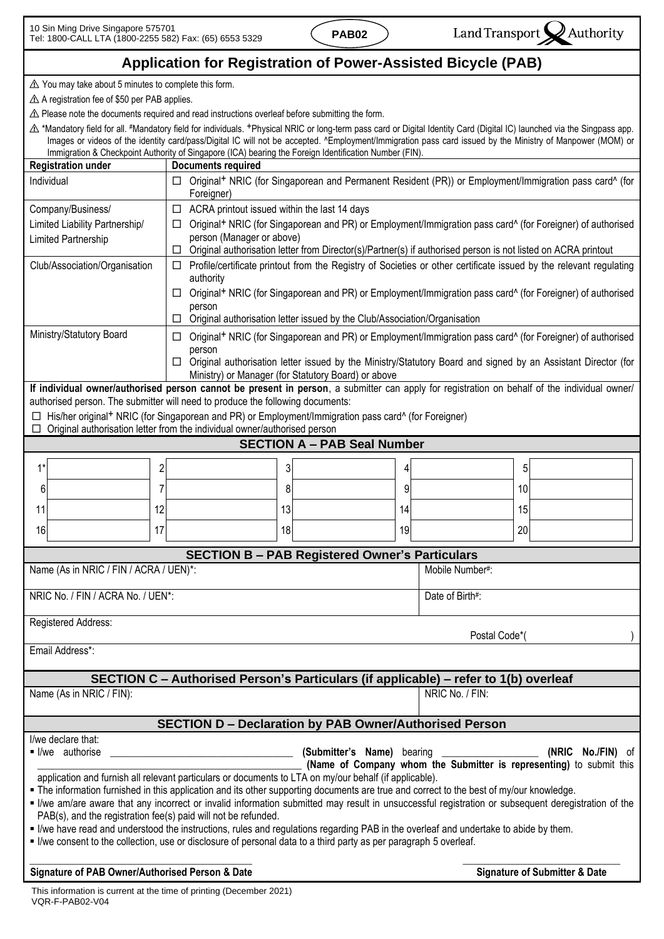**Signature of Submitter & Date**

## **Application for Registration of Power-Assisted Bicycle (PAB)**

⚠ You may take about 5 minutes to complete this form.

⚠ A registration fee of \$50 per PAB applies.

⚠ Please note the documents required and read instructions overleaf before submitting the form.

⚠ \*Mandatory field for all. #Mandatory field for individuals. +Physical NRIC or long-term pass card or Digital Identity Card (Digital IC) launched via the Singpass app. Images or videos of the identity card/pass/Digital IC will not be accepted. ^Employment/Immigration pass card issued by the Ministry of Manpower (MOM) or Immigration & Checkpoint Authority of Singapore (ICA) bearing the Foreign Identification Number (FIN).

| <b>Registration under</b>                                                                                                                                                                                |                      | <b>Documents required</b>                                                                                                                                                                                                                     |    |   |                 |    |  |  |
|----------------------------------------------------------------------------------------------------------------------------------------------------------------------------------------------------------|----------------------|-----------------------------------------------------------------------------------------------------------------------------------------------------------------------------------------------------------------------------------------------|----|---|-----------------|----|--|--|
| Individual                                                                                                                                                                                               | $\Box$<br>Foreigner) | Original <sup>+</sup> NRIC (for Singaporean and Permanent Resident (PR)) or Employment/Immigration pass card^ (for                                                                                                                            |    |   |                 |    |  |  |
| Company/Business/                                                                                                                                                                                        |                      | $\Box$ ACRA printout issued within the last 14 days                                                                                                                                                                                           |    |   |                 |    |  |  |
| Limited Liability Partnership/                                                                                                                                                                           | $\Box$               | Original <sup>+</sup> NRIC (for Singaporean and PR) or Employment/Immigration pass card^ (for Foreigner) of authorised                                                                                                                        |    |   |                 |    |  |  |
| Limited Partnership                                                                                                                                                                                      |                      | person (Manager or above)                                                                                                                                                                                                                     |    |   |                 |    |  |  |
| Club/Association/Organisation                                                                                                                                                                            |                      | Original authorisation letter from Director(s)/Partner(s) if authorised person is not listed on ACRA printout<br>□<br>Profile/certificate printout from the Registry of Societies or other certificate issued by the relevant regulating<br>□ |    |   |                 |    |  |  |
|                                                                                                                                                                                                          | authority            |                                                                                                                                                                                                                                               |    |   |                 |    |  |  |
|                                                                                                                                                                                                          | □                    | Original <sup>+</sup> NRIC (for Singaporean and PR) or Employment/Immigration pass card^ (for Foreigner) of authorised                                                                                                                        |    |   |                 |    |  |  |
|                                                                                                                                                                                                          | person<br>□          | Original authorisation letter issued by the Club/Association/Organisation                                                                                                                                                                     |    |   |                 |    |  |  |
| Ministry/Statutory Board                                                                                                                                                                                 | □                    | Original <sup>+</sup> NRIC (for Singaporean and PR) or Employment/Immigration pass card^ (for Foreigner) of authorised                                                                                                                        |    |   |                 |    |  |  |
|                                                                                                                                                                                                          | person               | □ Original authorisation letter issued by the Ministry/Statutory Board and signed by an Assistant Director (for                                                                                                                               |    |   |                 |    |  |  |
| Ministry) or Manager (for Statutory Board) or above<br>If individual owner/authorised person cannot be present in person, a submitter can apply for registration on behalf of the individual owner/      |                      |                                                                                                                                                                                                                                               |    |   |                 |    |  |  |
| authorised person. The submitter will need to produce the following documents:                                                                                                                           |                      |                                                                                                                                                                                                                                               |    |   |                 |    |  |  |
| His/her original <sup>+</sup> NRIC (for Singaporean and PR) or Employment/Immigration pass card^ (for Foreigner)                                                                                         |                      |                                                                                                                                                                                                                                               |    |   |                 |    |  |  |
| Original authorisation letter from the individual owner/authorised person                                                                                                                                |                      |                                                                                                                                                                                                                                               |    |   |                 |    |  |  |
| <b>SECTION A - PAB Seal Number</b>                                                                                                                                                                       |                      |                                                                                                                                                                                                                                               |    |   |                 |    |  |  |
| $1*$                                                                                                                                                                                                     | $\overline{c}$       | 3                                                                                                                                                                                                                                             | 4  |   |                 | 5  |  |  |
| 6                                                                                                                                                                                                        |                      | 8                                                                                                                                                                                                                                             |    | 9 |                 | 10 |  |  |
| 11                                                                                                                                                                                                       | 12                   | 13                                                                                                                                                                                                                                            | 14 |   |                 | 15 |  |  |
| 16                                                                                                                                                                                                       | 17                   | 18                                                                                                                                                                                                                                            | 19 |   |                 | 20 |  |  |
| <b>SECTION B - PAB Registered Owner's Particulars</b>                                                                                                                                                    |                      |                                                                                                                                                                                                                                               |    |   |                 |    |  |  |
| Name (As in NRIC / FIN / ACRA / UEN)*:                                                                                                                                                                   |                      |                                                                                                                                                                                                                                               |    |   | Mobile Number#: |    |  |  |
| NRIC No. / FIN / ACRA No. / UEN*:                                                                                                                                                                        |                      |                                                                                                                                                                                                                                               |    |   | Date of Birth#: |    |  |  |
| Registered Address:                                                                                                                                                                                      |                      |                                                                                                                                                                                                                                               |    |   |                 |    |  |  |
| Postal Code*(<br>Email Address*:                                                                                                                                                                         |                      |                                                                                                                                                                                                                                               |    |   |                 |    |  |  |
|                                                                                                                                                                                                          |                      |                                                                                                                                                                                                                                               |    |   |                 |    |  |  |
| SECTION C - Authorised Person's Particulars (if applicable) - refer to 1(b) overleaf<br>NRIC No. / FIN:                                                                                                  |                      |                                                                                                                                                                                                                                               |    |   |                 |    |  |  |
| Name (As in NRIC / FIN):                                                                                                                                                                                 |                      |                                                                                                                                                                                                                                               |    |   |                 |    |  |  |
| <b>SECTION D - Declaration by PAB Owner/Authorised Person</b>                                                                                                                                            |                      |                                                                                                                                                                                                                                               |    |   |                 |    |  |  |
| I/we declare that:                                                                                                                                                                                       |                      |                                                                                                                                                                                                                                               |    |   |                 |    |  |  |
| I/we authorise<br>(Submitter's Name) bearing<br>(NRIC No./FIN) of                                                                                                                                        |                      |                                                                                                                                                                                                                                               |    |   |                 |    |  |  |
| (Name of Company whom the Submitter is representing) to submit this<br>application and furnish all relevant particulars or documents to LTA on my/our behalf (if applicable).                            |                      |                                                                                                                                                                                                                                               |    |   |                 |    |  |  |
| . The information furnished in this application and its other supporting documents are true and correct to the best of my/our knowledge.                                                                 |                      |                                                                                                                                                                                                                                               |    |   |                 |    |  |  |
| I live am/are aware that any incorrect or invalid information submitted may result in unsuccessful registration or subsequent deregistration of the                                                      |                      |                                                                                                                                                                                                                                               |    |   |                 |    |  |  |
| PAB(s), and the registration fee(s) paid will not be refunded.<br>If live have read and understood the instructions, rules and regulations regarding PAB in the overleaf and undertake to abide by them. |                      |                                                                                                                                                                                                                                               |    |   |                 |    |  |  |
| If live consent to the collection, use or disclosure of personal data to a third party as per paragraph 5 overleaf.                                                                                      |                      |                                                                                                                                                                                                                                               |    |   |                 |    |  |  |
|                                                                                                                                                                                                          |                      |                                                                                                                                                                                                                                               |    |   |                 |    |  |  |

**Signature of PAB Owner/Authorised Person & Date**